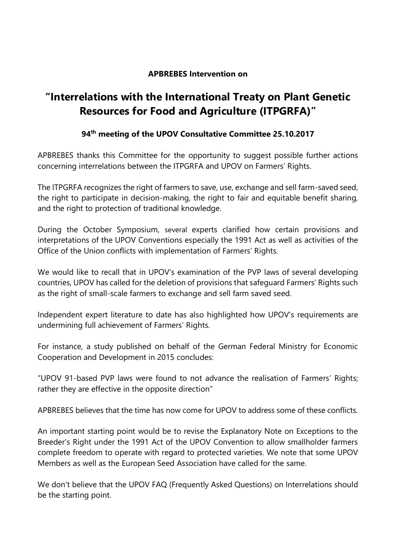## **APBREBES Intervention on**

## **"Interrelations with the International Treaty on Plant Genetic Resources for Food and Agriculture (ITPGRFA)"**

## **94th meeting of the UPOV Consultative Committee 25.10.2017**

APBREBES thanks this Committee for the opportunity to suggest possible further actions concerning interrelations between the ITPGRFA and UPOV on Farmers' Rights.

The ITPGRFA recognizes the right of farmers to save, use, exchange and sell farm-saved seed, the right to participate in decision-making, the right to fair and equitable benefit sharing, and the right to protection of traditional knowledge.

During the October Symposium, several experts clarified how certain provisions and interpretations of the UPOV Conventions especially the 1991 Act as well as activities of the Office of the Union conflicts with implementation of Farmers' Rights.

We would like to recall that in UPOV's examination of the PVP laws of several developing countries, UPOV has called for the deletion of provisions that safeguard Farmers' Rights such as the right of small-scale farmers to exchange and sell farm saved seed.

Independent expert literature to date has also highlighted how UPOV's requirements are undermining full achievement of Farmers' Rights.

For instance, a study published on behalf of the German Federal Ministry for Economic Cooperation and Development in 2015 concludes:

"UPOV 91‐based PVP laws were found to not advance the realisation of Farmers' Rights; rather they are effective in the opposite direction"

APBREBES believes that the time has now come for UPOV to address some of these conflicts.

An important starting point would be to revise the Explanatory Note on Exceptions to the Breeder's Right under the 1991 Act of the UPOV Convention to allow smallholder farmers complete freedom to operate with regard to protected varieties. We note that some UPOV Members as well as the European Seed Association have called for the same.

We don't believe that the UPOV FAQ (Frequently Asked Questions) on Interrelations should be the starting point.